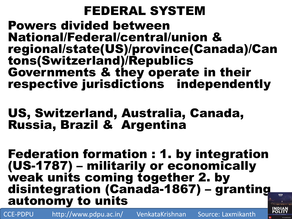### FEDERAL SYSTEM

Powers divided between National/Federal/central/union & regional/state(US)/province(Canada)/Can tons(Switzerland)/Republics Governments & they operate in their respective jurisdictions independently

#### US, Switzerland, Australia, Canada, Russia, Brazil & Argentina

Federation formation : 1. by integration (US-1787) – militarily or economically weak units coming together 2. by disintegration (Canada-1867) – granting autonomy to units

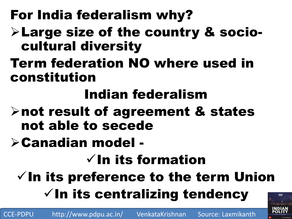# For India federalism why?

## Large size of the country & sociocultural diversity

Term federation NO where used in constitution

# Indian federalism

- not result of agreement & states not able to secede
- Canadian model -

# $\checkmark$  In its formation

 $\checkmark$  In its preference to the term Union  $\checkmark$  In its centralizing tendency

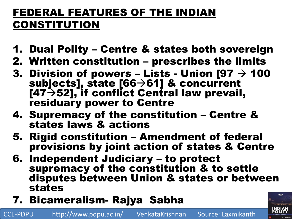#### FEDERAL FEATURES OF THE INDIAN CONSTITUTION

- 1. Dual Polity Centre & states both sovereign
- 2. Written constitution prescribes the limits
- 3. Division of powers Lists Union  $[97 \rightarrow 100$ subjects], state  $[66 \rightarrow 61]$  & concurrent  $[47 \rightarrow 52]$ , if conflict Central law prevail, residuary power to Centre
- 4. Supremacy of the constitution Centre & states laws & actions
- 5. Rigid constitution Amendment of federal provisions by joint action of states & Centre
- 6. Independent Judiciary to protect supremacy of the constitution & to settle disputes between Union & states or between states
- 7. Bicameralism- Rajya Sabha

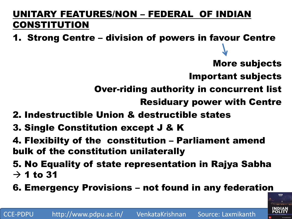#### UNITARY FEATURES/NON – FEDERAL OF INDIAN CONSTITUTION

- 1. Strong Centre division of powers in favour Centre
	- More subjects
	- Important subjects
	- Over-riding authority in concurrent list
		- Residuary power with Centre
- 2. Indestructible Union & destructible states
- 3. Single Constitution except J & K
- 4. Flexibilty of the constitution Parliament amend bulk of the constitution unilaterally
- 5. No Equality of state representation in Rajya Sabha  $\rightarrow$  1 to 31
- 6. Emergency Provisions not found in any federation

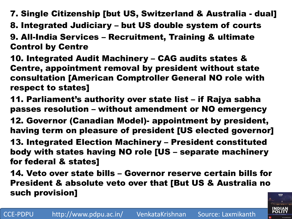- 7. Single Citizenship [but US, Switzerland & Australia dual]
- 8. Integrated Judiciary but US double system of courts
- 9. All-India Services Recruitment, Training & ultimate Control by Centre
- 10. Integrated Audit Machinery CAG audits states & Centre, appointment removal by president without state consultation [American Comptroller General NO role with respect to states]
- 11. Parliament's authority over state list if Rajya sabha passes resolution – without amendment or NO emergency
- 12. Governor (Canadian Model)- appointment by president, having term on pleasure of president [US elected governor]
- 13. Integrated Election Machinery President constituted body with states having NO role [US – separate machinery for federal & states]
- 14. Veto over state bills Governor reserve certain bills for President & absolute veto over that [But US & Australia no such provision]

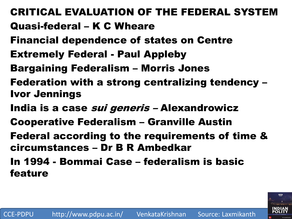CRITICAL EVALUATION OF THE FEDERAL SYSTEM Quasi-federal – K C Wheare Financial dependence of states on Centre Extremely Federal - Paul Appleby Bargaining Federalism – Morris Jones Federation with a strong centralizing tendency – Ivor Jennings India is a case *sui generis* - Alexandrowicz Cooperative Federalism – Granville Austin Federal according to the requirements of time & circumstances – Dr B R Ambedkar In 1994 - Bommai Case – federalism is basic feature